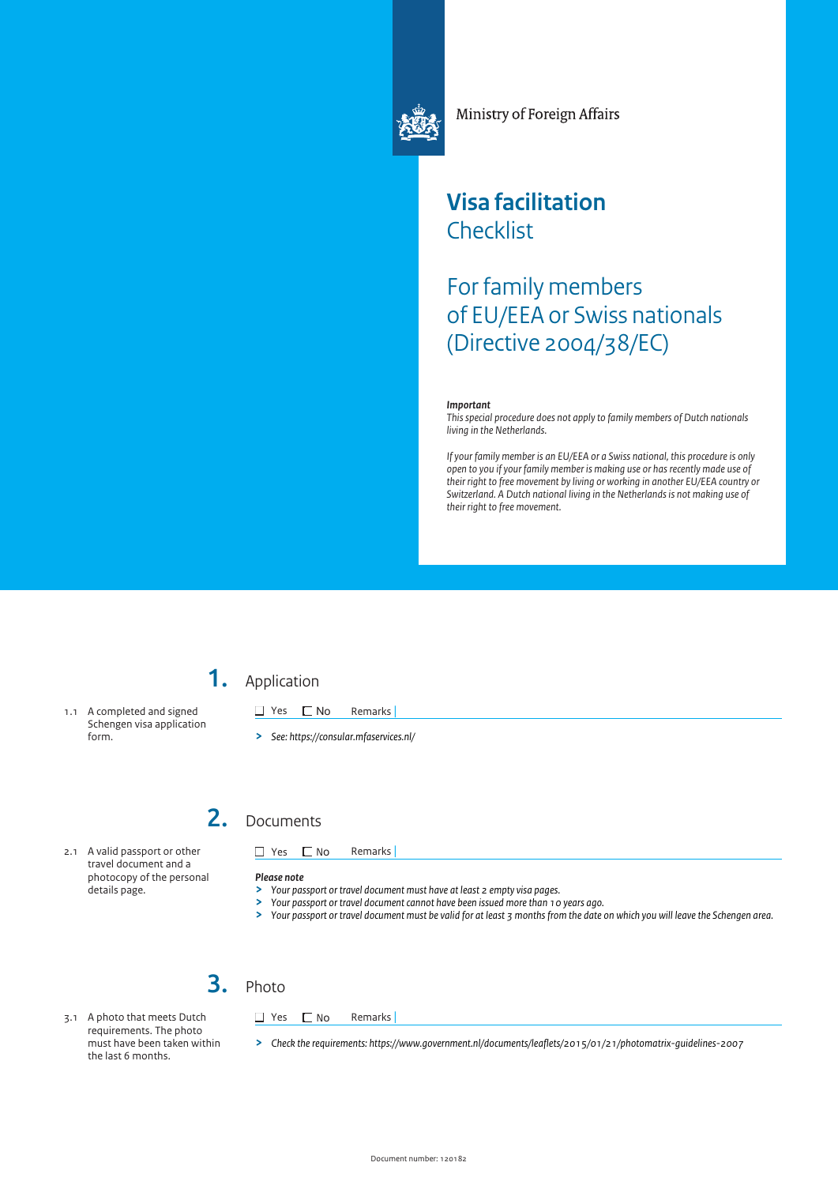

Ministry of Foreign Affairs

# **Visa facilitation Checklist**

# For family members of EU/EEA or Swiss nationals (Directive 2004/38/EC)

#### *Important*

*This special procedure does not apply to family members of Dutch nationals living in the Netherlands.* 

*If your family member is an EU/EEA or a Swiss national, this procedure is only open to you if your family member is making use or has recently made use of their right to free movement by living or working in another EU/EEA country or Switzerland. A Dutch national living in the Netherlands is not making use of their right to free movement.* 



1.1 A completed and signed Schengen visa application form.

□ Yes 
□ No Remarks

□ Yes 
□ No Remarks

**>** *See:<https://consular.mfaservices.nl/>*

### 2. Documents

2.1 A valid passport or other travel document and a photocopy of the personal details page.

■ Yes ■ No Remarks

### *Please note*

- **>** *Your passport or travel document must have at least 2 empty visa pages.*
- **>** *Your passport or travel document cannot have been issued more than 10 years ago.*
- **>** *Your passport or travel document must be valid for at least 3 months from the date on which you will leave the Schengen area.*

## 3. Photo

3.1 A photo that meets Dutch requirements. The photo must have been taken within the last 6 months.

**>** *Check the requirements:<https://www.government.nl/documents/leaflets/2015/01/21/photomatrix-guidelines-2007>*